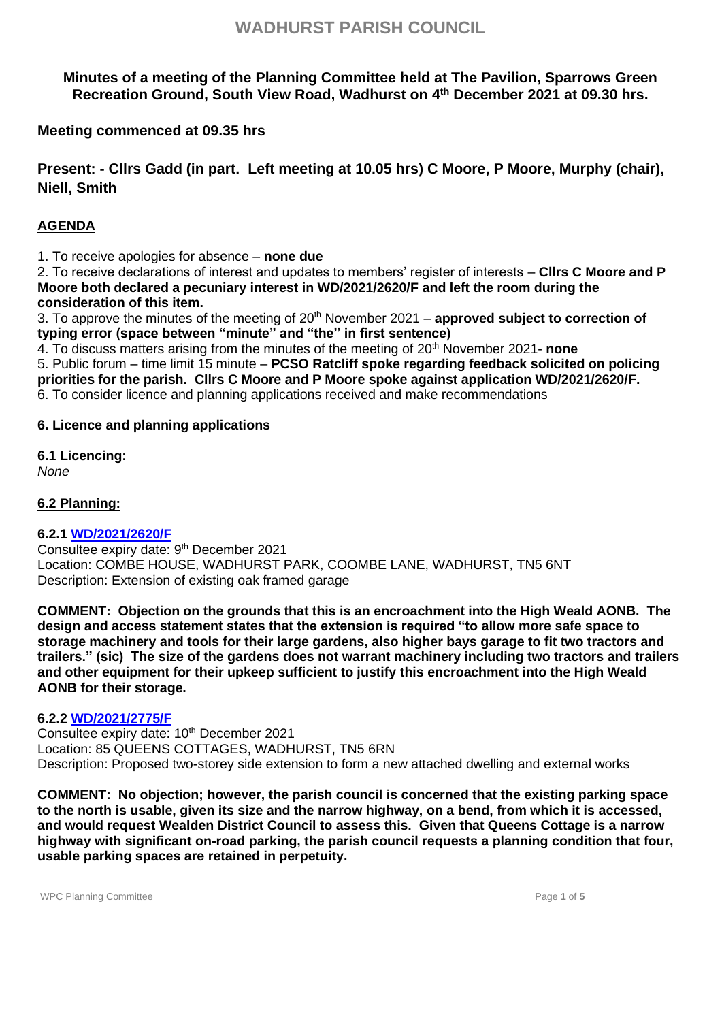**Minutes of a meeting of the Planning Committee held at The Pavilion, Sparrows Green Recreation Ground, South View Road, Wadhurst on 4 th December 2021 at 09.30 hrs.**

**Meeting commenced at 09.35 hrs**

**Present: - Cllrs Gadd (in part. Left meeting at 10.05 hrs) C Moore, P Moore, Murphy (chair), Niell, Smith**

## **AGENDA**

1. To receive apologies for absence – **none due**

2. To receive declarations of interest and updates to members' register of interests – **Cllrs C Moore and P Moore both declared a pecuniary interest in WD/2021/2620/F and left the room during the consideration of this item.**

3. To approve the minutes of the meeting of 20th November 2021 – **approved subject to correction of typing error (space between "minute" and "the" in first sentence)**

4. To discuss matters arising from the minutes of the meeting of 20th November 2021- **none**

5. Public forum – time limit 15 minute – **PCSO Ratcliff spoke regarding feedback solicited on policing priorities for the parish. Cllrs C Moore and P Moore spoke against application WD/2021/2620/F.** 6. To consider licence and planning applications received and make recommendations

### **6. Licence and planning applications**

**6.1 Licencing:** *None*

**6.2 Planning:** 

## **6.2.1 [WD/2021/2620/F](http://planning.wealden.gov.uk/plandisp.aspx?recno=155753)**

Consultee expiry date: 9<sup>th</sup> December 2021 Location: COMBE HOUSE, WADHURST PARK, COOMBE LANE, WADHURST, TN5 6NT Description: Extension of existing oak framed garage

**COMMENT: Objection on the grounds that this is an encroachment into the High Weald AONB. The design and access statement states that the extension is required "to allow more safe space to storage machinery and tools for their large gardens, also higher bays garage to fit two tractors and trailers." (sic) The size of the gardens does not warrant machinery including two tractors and trailers and other equipment for their upkeep sufficient to justify this encroachment into the High Weald AONB for their storage.**

#### **6.2.2 [WD/2021/2775/F](http://planning.wealden.gov.uk/plandisp.aspx?recno=155954)**

Consultee expiry date: 10<sup>th</sup> December 2021 Location: 85 QUEENS COTTAGES, WADHURST, TN5 6RN Description: Proposed two-storey side extension to form a new attached dwelling and external works

**COMMENT: No objection; however, the parish council is concerned that the existing parking space to the north is usable, given its size and the narrow highway, on a bend, from which it is accessed, and would request Wealden District Council to assess this. Given that Queens Cottage is a narrow highway with significant on-road parking, the parish council requests a planning condition that four, usable parking spaces are retained in perpetuity.**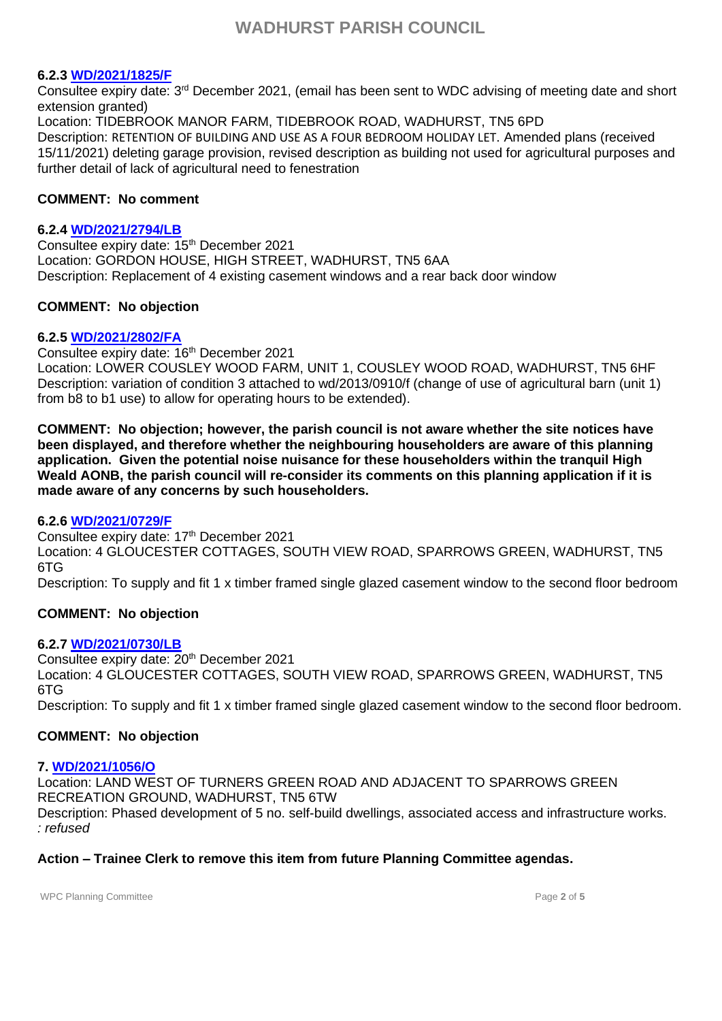### **6.2.3 [WD/2021/1825/F](http://planning.wealden.gov.uk/plandisp.aspx?recno=154765)**

Consultee expiry date: 3<sup>rd</sup> December 2021, (email has been sent to WDC advising of meeting date and short extension granted) Location: TIDEBROOK MANOR FARM, TIDEBROOK ROAD, WADHURST, TN5 6PD Description: RETENTION OF BUILDING AND USE AS A FOUR BEDROOM HOLIDAY LET. Amended plans (received 15/11/2021) deleting garage provision, revised description as building not used for agricultural purposes and further detail of lack of agricultural need to fenestration

### **COMMENT: No comment**

### **6.2.4 [WD/2021/2794/LB](https://planning.wealden.gov.uk/plandisp.aspx?recno=155977)**

Consultee expiry date: 15<sup>th</sup> December 2021 Location: GORDON HOUSE, HIGH STREET, WADHURST, TN5 6AA Description: Replacement of 4 existing casement windows and a rear back door window

## **COMMENT: No objection**

### **6.2.5 [WD/2021/2802/FA](http://planning.wealden.gov.uk/plandisp.aspx?recno=155984)**

Consultee expiry date: 16th December 2021

Location: LOWER COUSLEY WOOD FARM, UNIT 1, COUSLEY WOOD ROAD, WADHURST, TN5 6HF Description: variation of condition 3 attached to wd/2013/0910/f (change of use of agricultural barn (unit 1) from b8 to b1 use) to allow for operating hours to be extended).

**COMMENT: No objection; however, the parish council is not aware whether the site notices have been displayed, and therefore whether the neighbouring householders are aware of this planning application. Given the potential noise nuisance for these householders within the tranquil High Weald AONB, the parish council will re-consider its comments on this planning application if it is made aware of any concerns by such householders.**

#### **6.2.6 [WD/2021/0729/F](http://planning.wealden.gov.uk/plandisp.aspx?recno=153376)**

Consultee expiry date: 17<sup>th</sup> December 2021 Location: 4 GLOUCESTER COTTAGES, SOUTH VIEW ROAD, SPARROWS GREEN, WADHURST, TN5 6TG

## Description: To supply and fit 1 x timber framed single glazed casement window to the second floor bedroom

## **COMMENT: No objection**

## **6.2.7 [WD/2021/0730/LB](http://planning.wealden.gov.uk/plandisp.aspx?recno=153377)**

Consultee expiry date: 20<sup>th</sup> December 2021 Location: 4 GLOUCESTER COTTAGES, SOUTH VIEW ROAD, SPARROWS GREEN, WADHURST, TN5 6TG Description: To supply and fit 1 x timber framed single glazed casement window to the second floor bedroom.

## **COMMENT: No objection**

## **7. [WD/2021/1056/O](http://planning.wealden.gov.uk/plandisp.aspx?recno=153805)**

Location: LAND WEST OF TURNERS GREEN ROAD AND ADJACENT TO SPARROWS GREEN RECREATION GROUND, WADHURST, TN5 6TW Description: Phased development of 5 no. self-build dwellings, associated access and infrastructure works. *: refused*

# **Action – Trainee Clerk to remove this item from future Planning Committee agendas.**

WPC Planning Committee **Page 2** of **5** and **Page 2** of **5**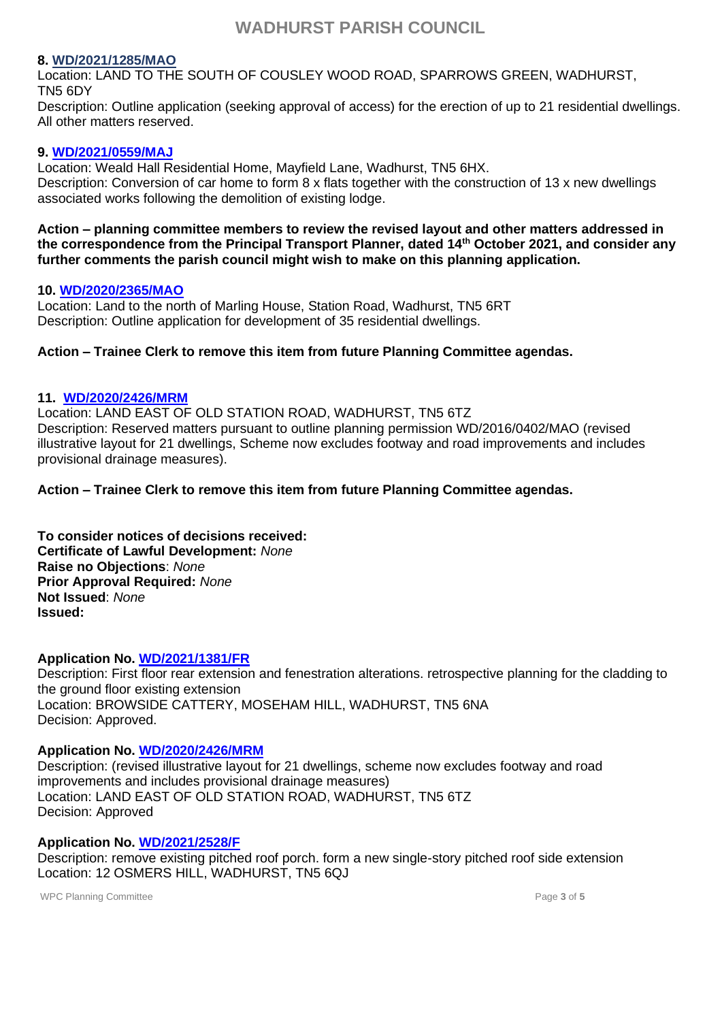### **8. [WD/2021/1285/MAO](http://planning.wealden.gov.uk/plandisp.aspx?recno=154095)**

Location: LAND TO THE SOUTH OF COUSLEY WOOD ROAD, SPARROWS GREEN, WADHURST, TN5 6DY

Description: Outline application (seeking approval of access) for the erection of up to 21 residential dwellings. All other matters reserved.

#### **9. [WD/2021/0559/MAJ](https://planning.wealden.gov.uk/plandisp.aspx?recno=153161)**

Location: Weald Hall Residential Home, Mayfield Lane, Wadhurst, TN5 6HX. Description: Conversion of car home to form 8 x flats together with the construction of 13 x new dwellings associated works following the demolition of existing lodge.

**Action – planning committee members to review the revised layout and other matters addressed in the correspondence from the Principal Transport Planner, dated 14th October 2021, and consider any further comments the parish council might wish to make on this planning application.**

### **10. [WD/2020/2365/MAO](https://planning.wealden.gov.uk/plandisp.aspx?recno=151901)**

Location: Land to the north of Marling House, Station Road, Wadhurst, TN5 6RT Description: Outline application for development of 35 residential dwellings.

## **Action – Trainee Clerk to remove this item from future Planning Committee agendas.**

### **11. [WD/2020/2426/MRM](http://planning.wealden.gov.uk/plandisp.aspx?recno=151989)**

Location: LAND EAST OF OLD STATION ROAD, WADHURST, TN5 6TZ Description: Reserved matters pursuant to outline planning permission WD/2016/0402/MAO (revised illustrative layout for 21 dwellings, Scheme now excludes footway and road improvements and includes provisional drainage measures).

## **Action – Trainee Clerk to remove this item from future Planning Committee agendas.**

**To consider notices of decisions received: Certificate of Lawful Development:** *None* **Raise no Objections**: *None* **Prior Approval Required:** *None* **Not Issued**: *None* **Issued:** 

## **Application No. [WD/2021/1381/FR](http://planning.wealden.gov.uk/plandisp.aspx?recno=154213)**

Description: First floor rear extension and fenestration alterations. retrospective planning for the cladding to the ground floor existing extension Location: BROWSIDE CATTERY, MOSEHAM HILL, WADHURST, TN5 6NA Decision: Approved.

#### **Application No. [WD/2020/2426/MRM](http://planning.wealden.gov.uk/plandisp.aspx?recno=151989)**

Description: (revised illustrative layout for 21 dwellings, scheme now excludes footway and road improvements and includes provisional drainage measures) Location: LAND EAST OF OLD STATION ROAD, WADHURST, TN5 6TZ Decision: Approved

## **Application No. [WD/2021/2528/F](https://planning.wealden.gov.uk/plandisp.aspx?recno=155636)**

Description: remove existing pitched roof porch. form a new single-story pitched roof side extension Location: 12 OSMERS HILL, WADHURST, TN5 6QJ

WPC Planning Committee **Page 3** of **5** of **5**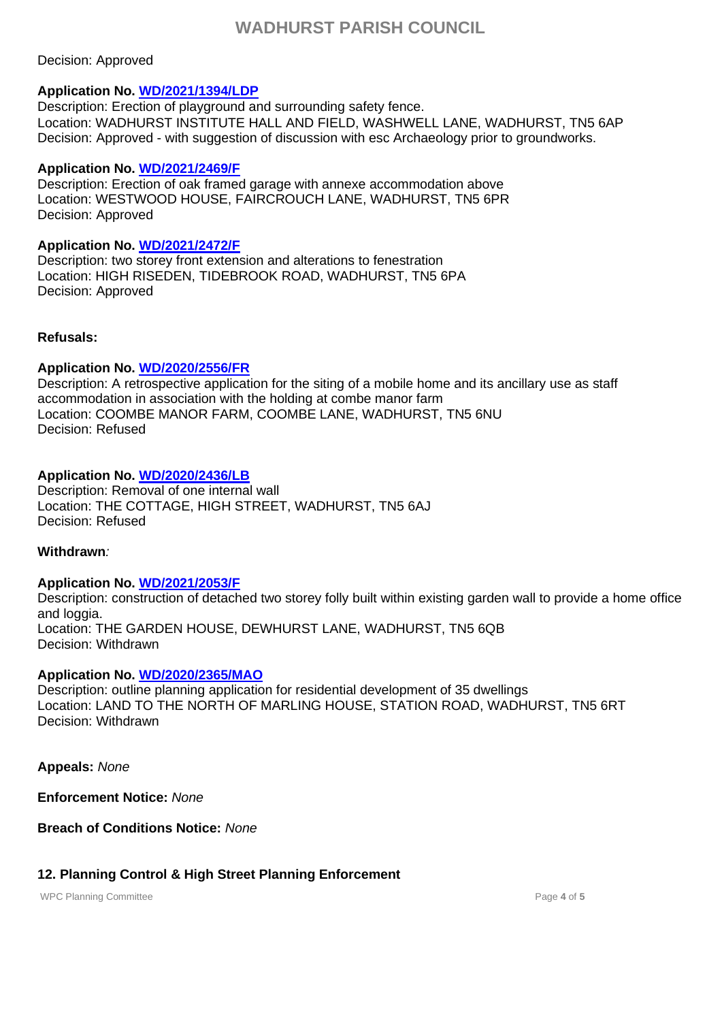### Decision: Approved

## **Application No. [WD/2021/1394/LDP](file:///C:/Users/CLERK/AppData/Local/Microsoft/Windows/INetCache/Content.Outlook/D1BZA2JU/Decision%20Notice_WD20211394LDP.pdf)**

Description: Erection of playground and surrounding safety fence. Location: WADHURST INSTITUTE HALL AND FIELD, WASHWELL LANE, WADHURST, TN5 6AP Decision: Approved - with suggestion of discussion with esc Archaeology prior to groundworks.

#### **Application No. [WD/2021/2469/F](http://planning.wealden.gov.uk/plandisp.aspx?recno=155566)**

Description: Erection of oak framed garage with annexe accommodation above Location: WESTWOOD HOUSE, FAIRCROUCH LANE, WADHURST, TN5 6PR Decision: Approved

### **Application No. [WD/2021/2472/F](http://planning.wealden.gov.uk/plandisp.aspx?recno=155569)**

Description: two storey front extension and alterations to fenestration Location: HIGH RISEDEN, TIDEBROOK ROAD, WADHURST, TN5 6PA Decision: Approved

### **Refusals:**

## **Application No. [WD/2020/2556/FR](http://planning.wealden.gov.uk/plandisp.aspx?recno=152151)**

Description: A retrospective application for the siting of a mobile home and its ancillary use as staff accommodation in association with the holding at combe manor farm Location: COOMBE MANOR FARM, COOMBE LANE, WADHURST, TN5 6NU Decision: Refused

### **Application No. [WD/2020/2436/LB](http://planning.wealden.gov.uk/plandisp.aspx?recno=152004)**

Description: Removal of one internal wall Location: THE COTTAGE, HIGH STREET, WADHURST, TN5 6AJ Decision: Refused

### **Withdrawn***:*

## **Application No. [WD/2021/2053/F](http://planning.wealden.gov.uk/plandisp.aspx?recno=155056)**

Description: construction of detached two storey folly built within existing garden wall to provide a home office and loggia. Location: THE GARDEN HOUSE, DEWHURST LANE, WADHURST, TN5 6QB Decision: Withdrawn

## **Application No. [WD/2020/2365/MAO](http://planning.wealden.gov.uk/plandisp.aspx?recno=151901)**

Description: outline planning application for residential development of 35 dwellings Location: LAND TO THE NORTH OF MARLING HOUSE, STATION ROAD, WADHURST, TN5 6RT Decision: Withdrawn

**Appeals:** *None*

**Enforcement Notice:** *None*

**Breach of Conditions Notice:** *None*

## **12. Planning Control & High Street Planning Enforcement**

WPC Planning Committee **Page 4** of **5** of **5**